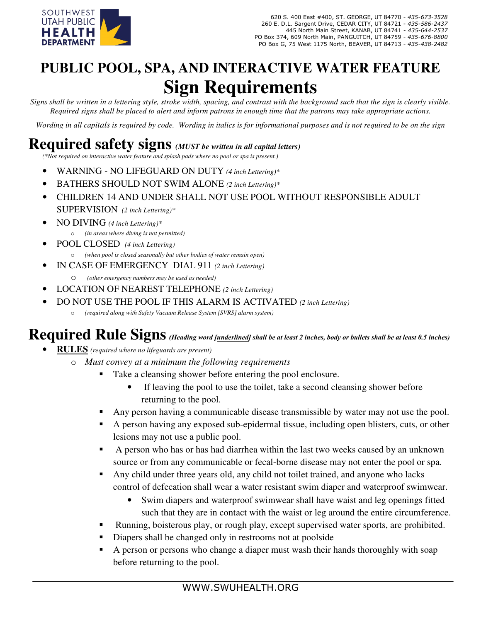

# **PUBLIC POOL, SPA, AND INTERACTIVE WATER FEATURE Sign Requirements**

*Signs shall be written in a lettering style, stroke width, spacing, and contrast with the background such that the sign is clearly visible. Required signs shall be placed to alert and inform patrons in enough time that the patrons may take appropriate actions.* 

*Wording in all capitals is required by code. Wording in italics is for informational purposes and is not required to be on the sign* 

## **Required safety signs** *(MUST be written in all capital letters)*

*(\*Not required on interactive water feature and splash pads where no pool or spa is present.)*

- WARNING NO LIFEGUARD ON DUTY *(4 inch Lettering)\**
- BATHERS SHOULD NOT SWIM ALONE *(2 inch Lettering)\**
- CHILDREN 14 AND UNDER SHALL NOT USE POOL WITHOUT RESPONSIBLE ADULT SUPERVISION *(2 inch Lettering)\**
- NO DIVING *(4 inch Lettering)\** o *(in areas where diving is not permitted)*
- POOL CLOSED *(4 inch Lettering)*
	- (when pool is closed seasonally but other bodies of water remain open)
- IN CASE OF EMERGENCY DIAL 911 *(2 inch Lettering)*
	- o *(other emergency numbers may be used as needed)*
- LOCATION OF NEAREST TELEPHONE *(2 inch Lettering)*
- DO NOT USE THE POOL IF THIS ALARM IS ACTIVATED *(2 inch Lettering)*
	- *(required along with Safety Vacuum Release System [SVRS] alarm system)*

### **Required Rule Signs***(Heading word [underlined] shall be at least 2 inches, body or bullets shall be at least 0.5 inches)*

- **RULES** *(required where no lifeguards are present)*
	- o *Must convey at a minimum the following requirements*
		- Take a cleansing shower before entering the pool enclosure.
			- If leaving the pool to use the toilet, take a second cleansing shower before returning to the pool.
		- Any person having a communicable disease transmissible by water may not use the pool.
		- A person having any exposed sub-epidermal tissue, including open blisters, cuts, or other lesions may not use a public pool.
		- A person who has or has had diarrhea within the last two weeks caused by an unknown source or from any communicable or fecal-borne disease may not enter the pool or spa.
		- Any child under three years old, any child not toilet trained, and anyone who lacks control of defecation shall wear a water resistant swim diaper and waterproof swimwear.
			- Swim diapers and waterproof swimwear shall have waist and leg openings fitted such that they are in contact with the waist or leg around the entire circumference.
		- Running, boisterous play, or rough play, except supervised water sports, are prohibited.
		- Diapers shall be changed only in restrooms not at poolside
		- A person or persons who change a diaper must wash their hands thoroughly with soap before returning to the pool.